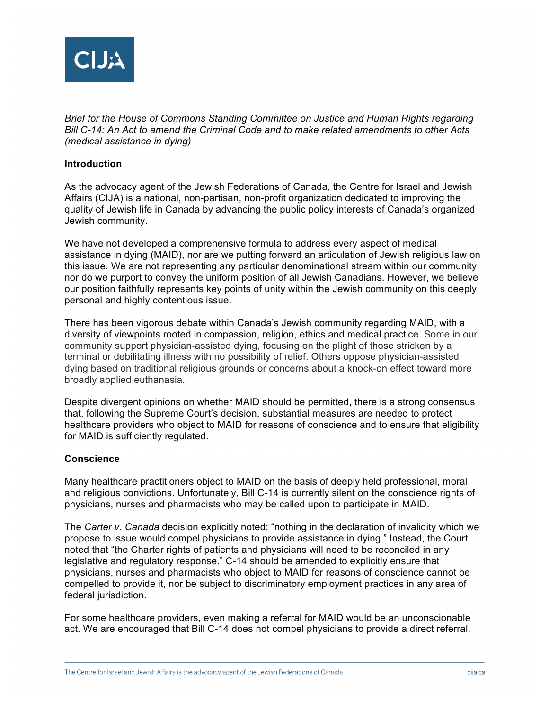

*Brief for the House of Commons Standing Committee on Justice and Human Rights regarding Bill C-14: An Act to amend the Criminal Code and to make related amendments to other Acts (medical assistance in dying)*

### **Introduction**

As the advocacy agent of the Jewish Federations of Canada, the Centre for Israel and Jewish Affairs (CIJA) is a national, non-partisan, non-profit organization dedicated to improving the quality of Jewish life in Canada by advancing the public policy interests of Canada's organized Jewish community.

We have not developed a comprehensive formula to address every aspect of medical assistance in dying (MAID), nor are we putting forward an articulation of Jewish religious law on this issue. We are not representing any particular denominational stream within our community, nor do we purport to convey the uniform position of all Jewish Canadians. However, we believe our position faithfully represents key points of unity within the Jewish community on this deeply personal and highly contentious issue.

There has been vigorous debate within Canada's Jewish community regarding MAID, with a diversity of viewpoints rooted in compassion, religion, ethics and medical practice. Some in our community support physician-assisted dying, focusing on the plight of those stricken by a terminal or debilitating illness with no possibility of relief. Others oppose physician-assisted dying based on traditional religious grounds or concerns about a knock-on effect toward more broadly applied euthanasia.

Despite divergent opinions on whether MAID should be permitted, there is a strong consensus that, following the Supreme Court's decision, substantial measures are needed to protect healthcare providers who object to MAID for reasons of conscience and to ensure that eligibility for MAID is sufficiently regulated.

### **Conscience**

Many healthcare practitioners object to MAID on the basis of deeply held professional, moral and religious convictions. Unfortunately, Bill C-14 is currently silent on the conscience rights of physicians, nurses and pharmacists who may be called upon to participate in MAID.

The *Carter v. Canada* decision explicitly noted: "nothing in the declaration of invalidity which we propose to issue would compel physicians to provide assistance in dying." Instead, the Court noted that "the Charter rights of patients and physicians will need to be reconciled in any legislative and regulatory response." C-14 should be amended to explicitly ensure that physicians, nurses and pharmacists who object to MAID for reasons of conscience cannot be compelled to provide it, nor be subject to discriminatory employment practices in any area of federal jurisdiction.

For some healthcare providers, even making a referral for MAID would be an unconscionable act. We are encouraged that Bill C-14 does not compel physicians to provide a direct referral.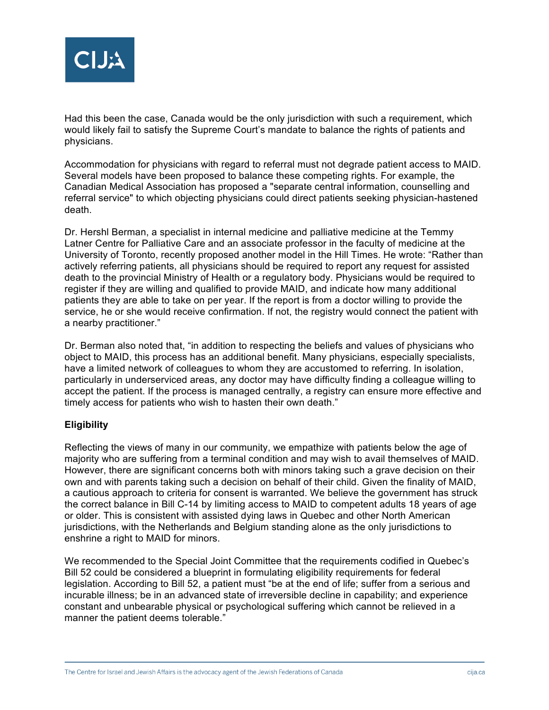

Had this been the case, Canada would be the only jurisdiction with such a requirement, which would likely fail to satisfy the Supreme Court's mandate to balance the rights of patients and physicians.

Accommodation for physicians with regard to referral must not degrade patient access to MAID. Several models have been proposed to balance these competing rights. For example, the Canadian Medical Association has proposed a "separate central information, counselling and referral service" to which objecting physicians could direct patients seeking physician-hastened death.

Dr. Hershl Berman, a specialist in internal medicine and palliative medicine at the Temmy Latner Centre for Palliative Care and an associate professor in the faculty of medicine at the University of Toronto, recently proposed another model in the Hill Times. He wrote: "Rather than actively referring patients, all physicians should be required to report any request for assisted death to the provincial Ministry of Health or a regulatory body. Physicians would be required to register if they are willing and qualified to provide MAID, and indicate how many additional patients they are able to take on per year. If the report is from a doctor willing to provide the service, he or she would receive confirmation. If not, the registry would connect the patient with a nearby practitioner."

Dr. Berman also noted that, "in addition to respecting the beliefs and values of physicians who object to MAID, this process has an additional benefit. Many physicians, especially specialists, have a limited network of colleagues to whom they are accustomed to referring. In isolation, particularly in underserviced areas, any doctor may have difficulty finding a colleague willing to accept the patient. If the process is managed centrally, a registry can ensure more effective and timely access for patients who wish to hasten their own death."

# **Eligibility**

Reflecting the views of many in our community, we empathize with patients below the age of majority who are suffering from a terminal condition and may wish to avail themselves of MAID. However, there are significant concerns both with minors taking such a grave decision on their own and with parents taking such a decision on behalf of their child. Given the finality of MAID, a cautious approach to criteria for consent is warranted. We believe the government has struck the correct balance in Bill C-14 by limiting access to MAID to competent adults 18 years of age or older. This is consistent with assisted dying laws in Quebec and other North American jurisdictions, with the Netherlands and Belgium standing alone as the only jurisdictions to enshrine a right to MAID for minors.

We recommended to the Special Joint Committee that the requirements codified in Quebec's Bill 52 could be considered a blueprint in formulating eligibility requirements for federal legislation. According to Bill 52, a patient must "be at the end of life; suffer from a serious and incurable illness; be in an advanced state of irreversible decline in capability; and experience constant and unbearable physical or psychological suffering which cannot be relieved in a manner the patient deems tolerable."